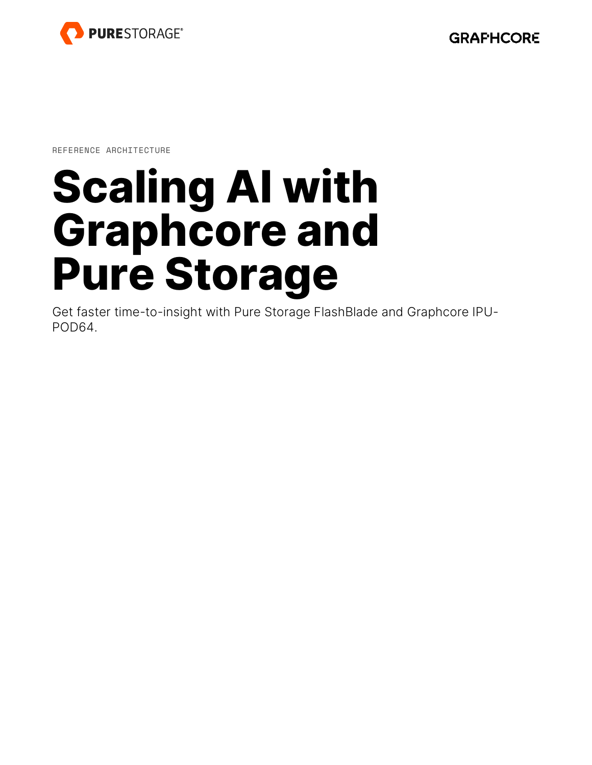

REFERENCE ARCHITECTURE

# **Scaling AI with Graphcore and Pure Storage**

Get faster time-to-insight with Pure Storage FlashBlade and Graphcore IPU-POD64.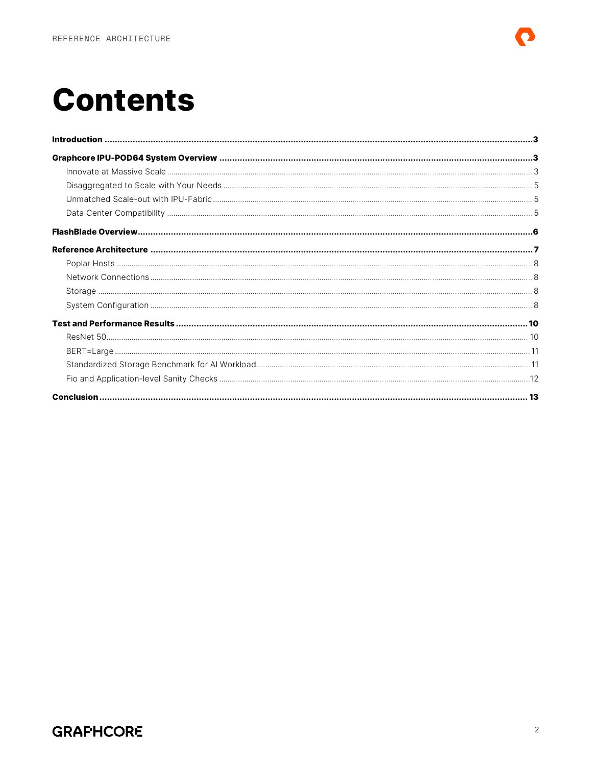## **Contents**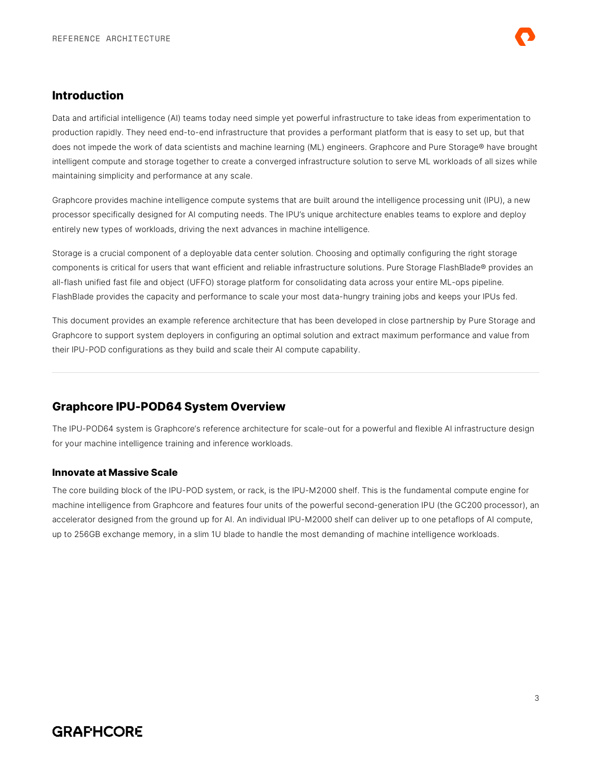#### <span id="page-2-0"></span>**Introduction**

Data and artificial intelligence (AI) teams today need simple yet powerful infrastructure to take ideas from experimentation to production rapidly. They need end-to-end infrastructure that provides a performant platform that is easy to set up, but that does not impede the work of data scientists and machine learning (ML) engineers. Graphcore and Pure Storage® have brought intelligent compute and storage together to create a converged infrastructure solution to serve ML workloads of all sizes while maintaining simplicity and performance at any scale.

Graphcore provides machine intelligence compute systems that are built around the intelligence processing unit (IPU), a new processor specifically designed for AI computing needs. The IPU's unique architecture enables teams to explore and deploy entirely new types of workloads, driving the next advances in machine intelligence.

Storage is a crucial component of a deployable data center solution. Choosing and optimally configuring the right storage components is critical for users that want efficient and reliable infrastructure solutions. Pure Storage FlashBlade® provides an all-flash unified fast file and object (UFFO) storage platform for consolidating data across your entire ML-ops pipeline. FlashBlade provides the capacity and performance to scale your most data-hungry training jobs and keeps your IPUs fed.

This document provides an example reference architecture that has been developed in close partnership by Pure Storage and Graphcore to support system deployers in configuring an optimal solution and extract maximum performance and value from their IPU-POD configurations as they build and scale their AI compute capability.

### <span id="page-2-1"></span>**Graphcore IPU-POD64 System Overview**

The IPU-POD64 system is Graphcore's reference architecture for scale-out for a powerful and flexible AI infrastructure design for your machine intelligence training and inference workloads.

#### <span id="page-2-2"></span>**Innovate at Massive Scale**

The core building block of the IPU-POD system, or rack, is the IPU-M2000 shelf. This is the fundamental compute engine for machine intelligence from Graphcore and features four units of the powerful second-generation IPU (the GC200 processor), an accelerator designed from the ground up for AI. An individual IPU-M2000 shelf can deliver up to one petaflops of AI compute, up to 256GB exchange memory, in a slim 1U blade to handle the most demanding of machine intelligence workloads.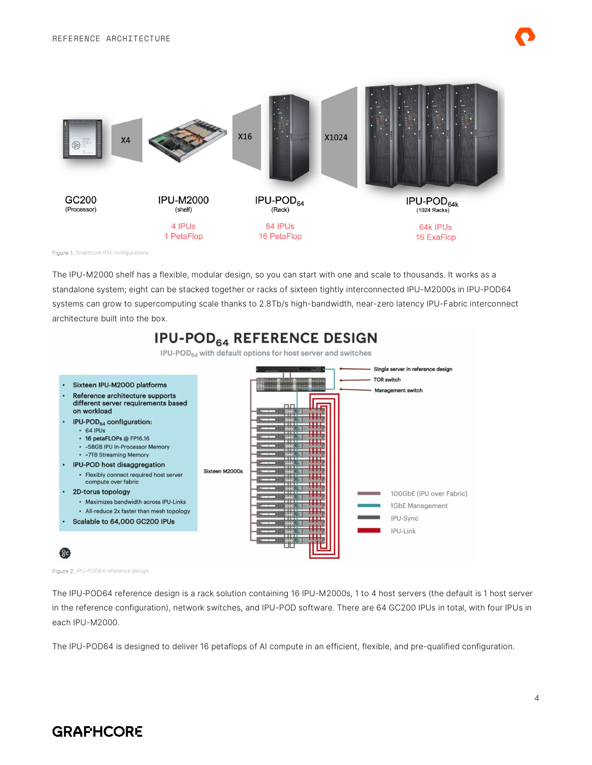

Figure 1. Graphcore IPU configurations.

The IPU-M2000 shelf has a flexible, modular design, so you can start with one and scale to thousands. It works as a standalone system; eight can be stacked together or racks of sixteen tightly interconnected IPU-M2000s in IPU-POD64 systems can grow to supercomputing scale thanks to 2.8Tb/s high-bandwidth, near-zero latency IPU-Fabric interconnect architecture built into the box.

## **IPU-POD<sub>64</sub> REFERENCE DESIGN**

IPU-POD<sub>64</sub> with default options for host server and switches



Figure 2. IPU-POD64 reference design.

The IPU-POD64 reference design is a rack solution containing 16 IPU-M2000s, 1 to 4 host servers (the default is 1 host server in the reference configuration), network switches, and IPU-POD software. There are 64 GC200 IPUs in total, with four IPUs in each IPU-M2000.

The IPU-POD64 is designed to deliver 16 petaflops of AI compute in an efficient, flexible, and pre-qualified configuration.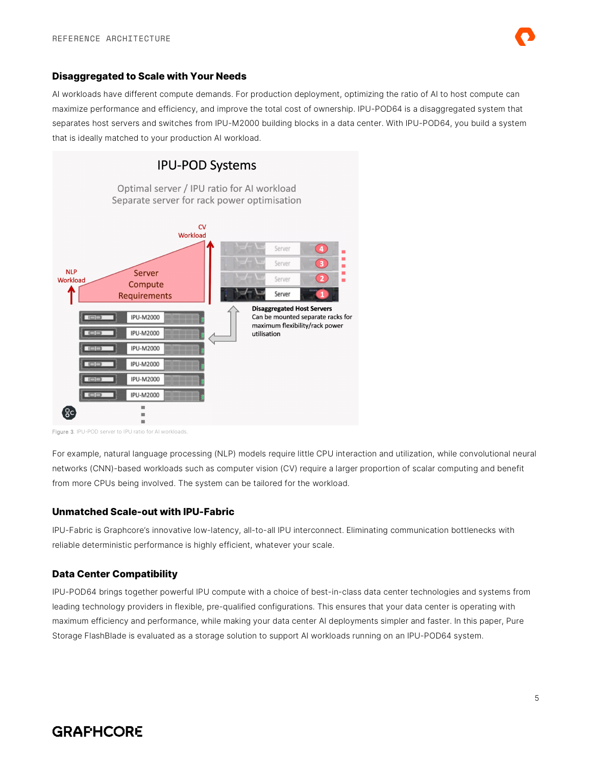

#### <span id="page-4-0"></span>**Disaggregated to Scale with Your Needs**

AI workloads have different compute demands. For production deployment, optimizing the ratio of AI to host compute can maximize performance and efficiency, and improve the total cost of ownership. IPU-POD64 is a disaggregated system that separates host servers and switches from IPU-M2000 building blocks in a data center. With IPU-POD64, you build a system that is ideally matched to your production AI workload.



Figure 3. IPU-POD server to IPU ratio for AI workloads.

For example, natural language processing (NLP) models require little CPU interaction and utilization, while convolutional neural networks (CNN)-based workloads such as computer vision (CV) require a larger proportion of scalar computing and benefit from more CPUs being involved. The system can be tailored for the workload.

#### <span id="page-4-1"></span>**Unmatched Scale-out with IPU-Fabric**

IPU-Fabric is Graphcore's innovative low-latency, all-to-all IPU interconnect. Eliminating communication bottlenecks with reliable deterministic performance is highly efficient, whatever your scale.

#### <span id="page-4-2"></span>**Data Center Compatibility**

IPU-POD64 brings together powerful IPU compute with a choice of best-in-class data center technologies and systems from leading technology providers in flexible, pre-qualified configurations. This ensures that your data center is operating with maximum efficiency and performance, while making your data center AI deployments simpler and faster. In this paper, Pure Storage FlashBlade is evaluated as a storage solution to support AI workloads running on an IPU-POD64 system.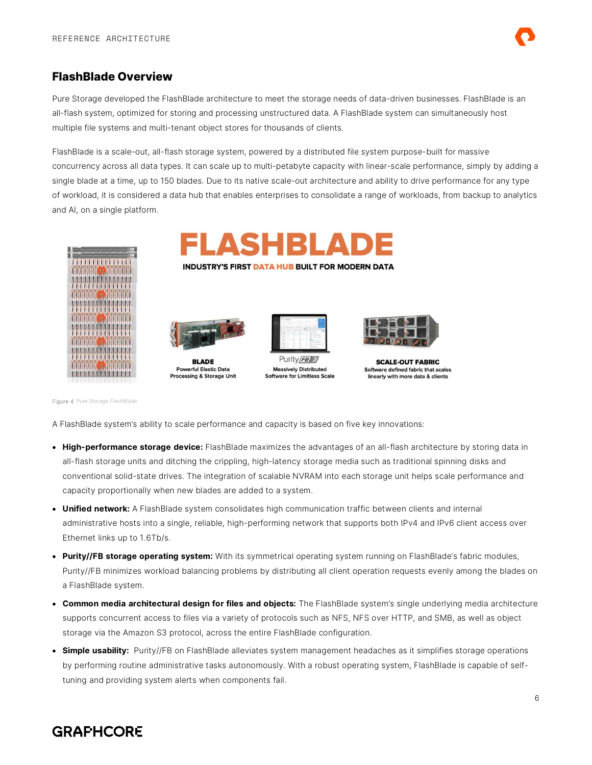

#### <span id="page-5-0"></span>**FlashBlade Overview**

Pure Storage developed the FlashBlade architecture to meet the storage needs of data-driven businesses. FlashBlade is an all-flash system, optimized for storing and processing unstructured data. A FlashBlade system can simultaneously host multiple file systems and multi-tenant object stores for thousands of clients.

FlashBlade is a scale-out, all-flash storage system, powered by a distributed file system purpose-built for massive concurrency across all data types. It can scale up to multi-petabyte capacity with linear-scale performance, simply by adding a single blade at a time, up to 150 blades. Due to its native scale-out architecture and ability to drive performance for any type of workload, it is considered a data hub that enables enterprises to consolidate a range of workloads, from backup to analytics and AI, on a single platform.



FLASHBLAD

**INDUSTRY'S FIRST DATA HUB BUILT FOR MODERN DATA** 



**Powerful Elastic Data** Processing & Storage Unit



Purity/FB/S **Massively Distributed Software for Limitless Scale** 



**SCALE-OUT FABRIC** Software defined fabric that scales linearly with more data & clients

Figure 4. Pure Storage FlashBlade.

A FlashBlade system's ability to scale performance and capacity is based on five key innovations:

- **High-performance storage device:** FlashBlade maximizes the advantages of an all-flash architecture by storing data in all-flash storage units and ditching the crippling, high-latency storage media such as traditional spinning disks and conventional solid-state drives. The integration of scalable NVRAM into each storage unit helps scale performance and capacity proportionally when new blades are added to a system.
- **Unified network:** A FlashBlade system consolidates high communication traffic between clients and internal administrative hosts into a single, reliable, high-performing network that supports both IPv4 and IPv6 client access over Ethernet links up to 1.6Tb/s.
- **Purity//FB storage operating system:** With its symmetrical operating system running on FlashBlade's fabric modules, Purity//FB minimizes workload balancing problems by distributing all client operation requests evenly among the blades on a FlashBlade system.
- **Common media architectural design for files and objects:** The FlashBlade system's single underlying media architecture supports concurrent access to files via a variety of protocols such as NFS, NFS over HTTP, and SMB, as well as object storage via the Amazon S3 protocol, across the entire FlashBlade configuration.
- **Simple usability:** Purity//FB on FlashBlade alleviates system management headaches as it simplifies storage operations by performing routine administrative tasks autonomously. With a robust operating system, FlashBlade is capable of selftuning and providing system alerts when components fail.

## **GRAPHCORE**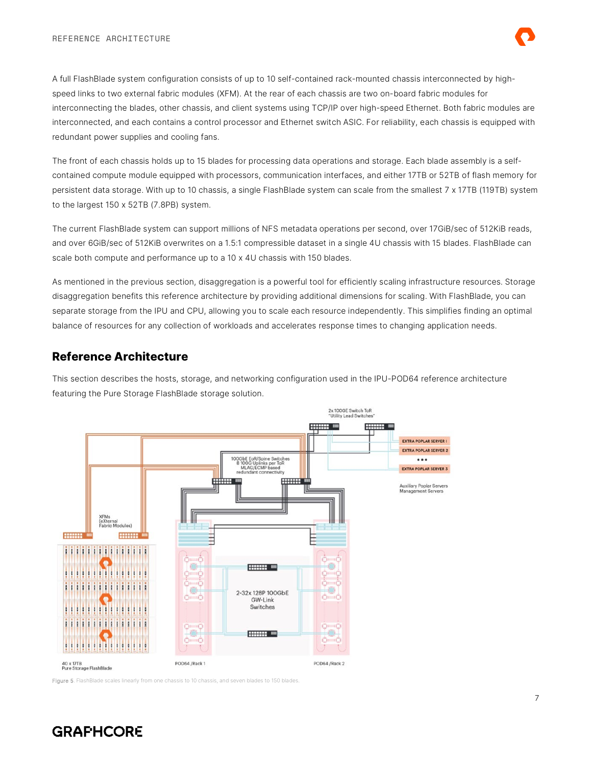

A full FlashBlade system configuration consists of up to 10 self-contained rack-mounted chassis interconnected by highspeed links to two external fabric modules (XFM). At the rear of each chassis are two on-board fabric modules for interconnecting the blades, other chassis, and client systems using TCP/IP over high-speed Ethernet. Both fabric modules are interconnected, and each contains a control processor and Ethernet switch ASIC. For reliability, each chassis is equipped with redundant power supplies and cooling fans.

The front of each chassis holds up to 15 blades for processing data operations and storage. Each blade assembly is a selfcontained compute module equipped with processors, communication interfaces, and either 17TB or 52TB of flash memory for persistent data storage. With up to 10 chassis, a single FlashBlade system can scale from the smallest 7 x 17TB (119TB) system to the largest 150 x 52TB (7.8PB) system.

The current FlashBlade system can support millions of NFS metadata operations per second, over 17GiB/sec of 512KiB reads, and over 6GiB/sec of 512KiB overwrites on a 1.5:1 compressible dataset in a single 4U chassis with 15 blades. FlashBlade can scale both compute and performance up to a 10 x 4U chassis with 150 blades.

As mentioned in the previous section, disaggregation is a powerful tool for efficiently scaling infrastructure resources. Storage disaggregation benefits this reference architecture by providing additional dimensions for scaling. With FlashBlade, you can separate storage from the IPU and CPU, allowing you to scale each resource independently. This simplifies finding an optimal balance of resources for any collection of workloads and accelerates response times to changing application needs.

#### <span id="page-6-0"></span>**Reference Architecture**

This section describes the hosts, storage, and networking configuration used in the IPU-POD64 reference architecture featuring the Pure Storage FlashBlade storage solution.



Figure 5. FlashBlade scales linearly from one chassis to 10 chassis, and seven blades to 150 blades.

## **GRAFHCORE**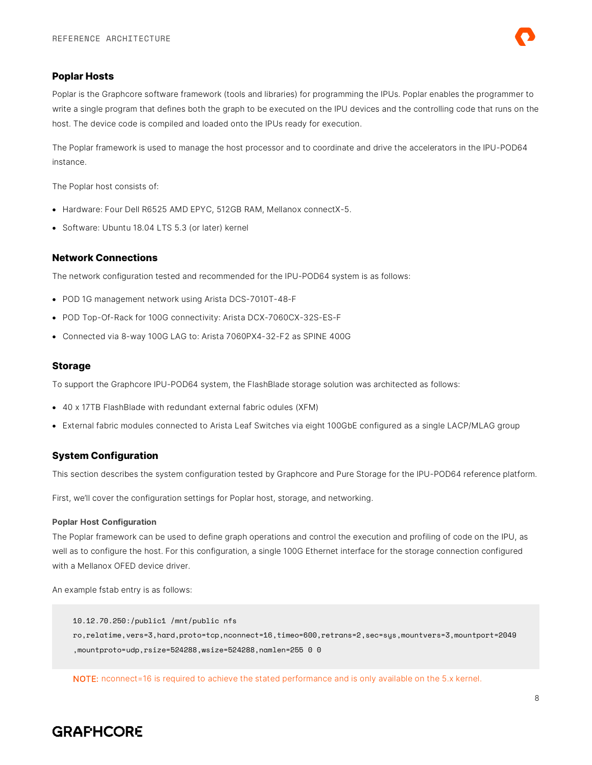

#### <span id="page-7-0"></span>**Poplar Hosts**

Poplar is the Graphcore software framework (tools and libraries) for programming the IPUs. Poplar enables the programmer to write a single program that defines both the graph to be executed on the IPU devices and the controlling code that runs on the host. The device code is compiled and loaded onto the IPUs ready for execution.

The Poplar framework is used to manage the host processor and to coordinate and drive the accelerators in the IPU-POD64 instance.

The Poplar host consists of:

- Hardware: Four Dell R6525 AMD EPYC, 512GB RAM, Mellanox connectX-5.
- <span id="page-7-1"></span>• Software: Ubuntu 18.04 LTS 5.3 (or later) kernel

#### **Network Connections**

The network configuration tested and recommended for the IPU-POD64 system is as follows:

- POD 1G management network using Arista DCS-7010T-48-F
- POD Top-Of-Rack for 100G connectivity: Arista DCX-7060CX-32S-ES-F
- <span id="page-7-2"></span>• Connected via 8-way 100G LAG to: Arista 7060PX4-32-F2 as SPINE 400G

#### **Storage**

To support the Graphcore IPU-POD64 system, the FlashBlade storage solution was architected as follows:

- 40 x 17TB FlashBlade with redundant external fabric odules (XFM)
- <span id="page-7-3"></span>• External fabric modules connected to Arista Leaf Switches via eight 100GbE configured as a single LACP/MLAG group

#### **System Configuration**

This section describes the system configuration tested by Graphcore and Pure Storage for the IPU-POD64 reference platform.

First, we'll cover the configuration settings for Poplar host, storage, and networking.

#### **Poplar Host Configuration**

The Poplar framework can be used to define graph operations and control the execution and profiling of code on the IPU, as well as to configure the host. For this configuration, a single 100G Ethernet interface for the storage connection configured with a Mellanox OFED device driver.

An example fstab entry is as follows:

10.12.70.250:/public1 /mnt/public nfs ro,relatime,vers=3,hard,proto=tcp,nconnect=16,timeo=600,retrans=2,sec=sys,mountvers=3,mountport=2049 ,mountproto=udp,rsize=524288,wsize=524288,namlen=255 0 0

NOTE: nconnect=16 is required to achieve the stated performance and is only available on the 5.x kernel.

## **GRAFHCORE**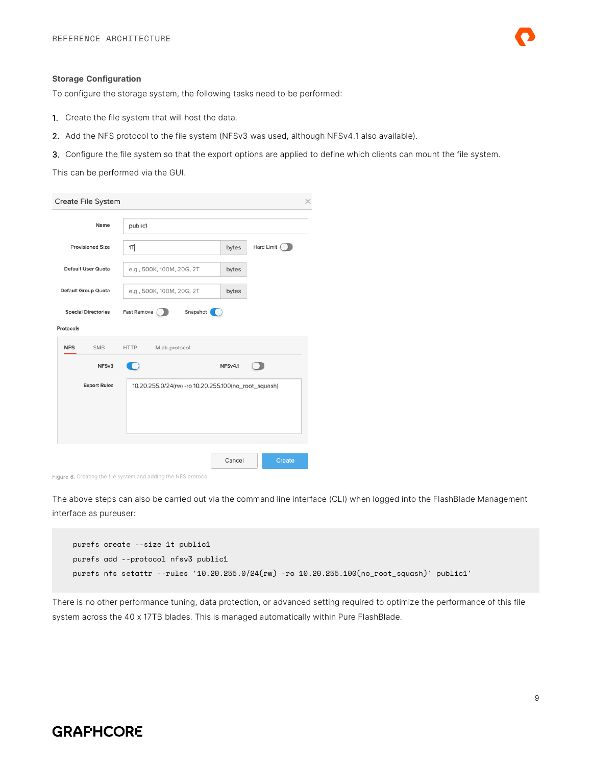#### **Storage Configuration**

To configure the storage system, the following tasks need to be performed:

- 1. Create the file system that will host the data.
- 2. Add the NFS protocol to the file system (NFSv3 was used, although NFSv4.1 also available).
- 3. Configure the file system so that the export options are applied to define which clients can mount the file system.

This can be performed via the GUI.

| Create File System         |                                                      |         | ≫             |
|----------------------------|------------------------------------------------------|---------|---------------|
| Name                       | public1                                              |         |               |
| <b>Provisioned Size</b>    | 1T                                                   | bytes   | Hard Limit    |
| Default User Quota         | e.g., 500K, 100M, 20G, 2T                            | bytes   |               |
| Default Group Quota        | e.g., 500K, 100M, 20G, 2T                            | bytes   |               |
| <b>Special Directories</b> | Snapshot<br>Fast Remove                              |         |               |
| Protocols                  |                                                      |         |               |
| <b>SMB</b><br><b>NFS</b>   | <b>HTTP</b><br>Multi-protocol                        |         |               |
| NFS <sub>v3</sub>          |                                                      | NFSv4.1 |               |
| <b>Export Rules</b>        | 10.20.255.0/24(rw) -ro 10.20.255.100(no_root_squash) |         |               |
|                            |                                                      |         |               |
|                            |                                                      |         |               |
|                            |                                                      |         |               |
|                            |                                                      | Cancel  | <b>Create</b> |

Figure 6. Creating the file system and adding the NFS protocol.

The above steps can also be carried out via the command line interface (CLI) when logged into the FlashBlade Management interface as pureuser:

```
purefs create --size 1t public1
purefs add --protocol nfsv3 public1
purefs nfs setattr --rules '10.20.255.0/24(rw) -ro 10.20.255.100(no_root_squash)' public1'
```
There is no other performance tuning, data protection, or advanced setting required to optimize the performance of this file system across the 40 x 17TB blades. This is managed automatically within Pure FlashBlade.

## **GRAPHCORE**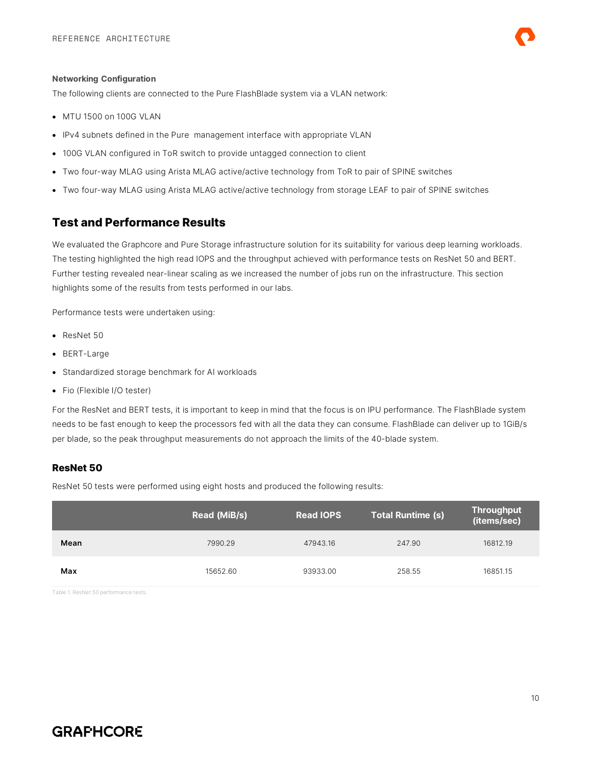The following clients are connected to the Pure FlashBlade system via a VLAN network:

- MTU 1500 on 100G VLAN
- IPv4 subnets defined in the Pure management interface with appropriate VLAN
- 100G VLAN configured in ToR switch to provide untagged connection to client
- Two four-way MLAG using Arista MLAG active/active technology from ToR to pair of SPINE switches
- <span id="page-9-0"></span>• Two four-way MLAG using Arista MLAG active/active technology from storage LEAF to pair of SPINE switches

#### **Test and Performance Results**

We evaluated the Graphcore and Pure Storage infrastructure solution for its suitability for various deep learning workloads. The testing highlighted the high read IOPS and the throughput achieved with performance tests on ResNet 50 and BERT. Further testing revealed near-linear scaling as we increased the number of jobs run on the infrastructure. This section highlights some of the results from tests performed in our labs.

Performance tests were undertaken using:

- ResNet 50
- BERT-Large
- Standardized storage benchmark for AI workloads
- Fio (Flexible I/O tester)

For the ResNet and BERT tests, it is important to keep in mind that the focus is on IPU performance. The FlashBlade system needs to be fast enough to keep the processors fed with all the data they can consume. FlashBlade can deliver up to 1GiB/s per blade, so the peak throughput measurements do not approach the limits of the 40-blade system.

#### <span id="page-9-1"></span>**ResNet 50**

ResNet 50 tests were performed using eight hosts and produced the following results:

|      | Read (MiB/s) | <b>Read IOPS</b> | <b>Total Runtime (s)</b> | <b>Throughput</b><br>(items/sec) |
|------|--------------|------------------|--------------------------|----------------------------------|
| Mean | 7990.29      | 47943.16         | 247.90                   | 16812.19                         |
| Max  | 15652.60     | 93933.00         | 258.55                   | 16851.15                         |

Table 1. ResNet 50 performance tests.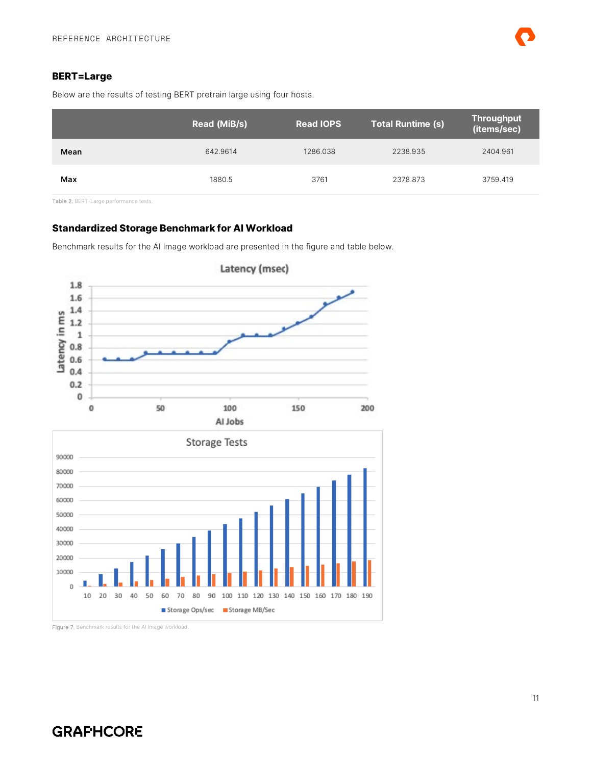#### <span id="page-10-0"></span>**BERT=Large**

Below are the results of testing BERT pretrain large using four hosts.

|      | Read (MiB/s) | <b>Read IOPS</b> | Total Runtime (s) | <b>Throughput</b><br>(items/sec) |
|------|--------------|------------------|-------------------|----------------------------------|
| Mean | 642.9614     | 1286.038         | 2238.935          | 2404.961                         |
| Max  | 1880.5       | 3761             | 2378.873          | 3759.419                         |

Table 2. BERT-Large performance tests.

#### <span id="page-10-1"></span>**Standardized Storage Benchmark for AI Workload**

Benchmark results for the AI Image workload are presented in the figure and table below.





Figure 7. Benchmark results for the AI Image workload.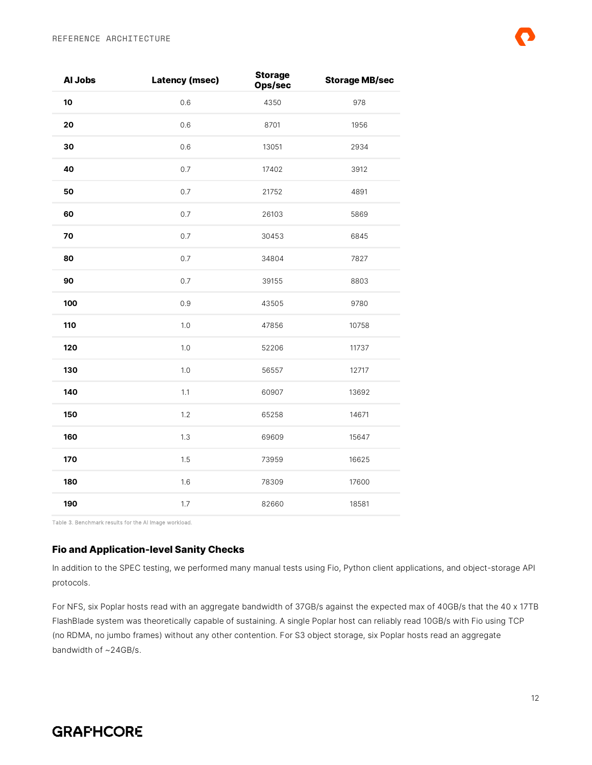| Al Jobs | <b>Latency (msec)</b> | <b>Storage</b><br>Ops/sec | <b>Storage MB/sec</b> |
|---------|-----------------------|---------------------------|-----------------------|
| 10      | 0.6                   | 4350                      | 978                   |
| 20      | 0.6                   | 8701                      | 1956                  |
| 30      | 0.6                   | 13051                     | 2934                  |
| 40      | 0.7                   | 17402                     | 3912                  |
| 50      | 0.7                   | 21752                     | 4891                  |
| 60      | 0.7                   | 26103                     | 5869                  |
| 70      | 0.7                   | 30453                     | 6845                  |
| 80      | $0.7\,$               | 34804                     | 7827                  |
| 90      | 0.7                   | 39155                     | 8803                  |
| 100     | 0.9                   | 43505                     | 9780                  |
| 110     | 1.0                   | 47856                     | 10758                 |
| 120     | 1.0                   | 52206                     | 11737                 |
| 130     | 1.0                   | 56557                     | 12717                 |
| 140     | 1.1                   | 60907                     | 13692                 |
| 150     | 1.2                   | 65258                     | 14671                 |
| 160     | 1.3                   | 69609                     | 15647                 |
| 170     | 1.5                   | 73959                     | 16625                 |
| 180     | 1.6                   | 78309                     | 17600                 |
| 190     | 1.7                   | 82660                     | 18581                 |

Table 3. Benchmark results for the AI Image workload.

#### <span id="page-11-0"></span>**Fio and Application-level Sanity Checks**

In addition to the SPEC testing, we performed many manual tests using Fio, Python client applications, and object-storage API protocols.

For NFS, six Poplar hosts read with an aggregate bandwidth of 37GB/s against the expected max of 40GB/s that the 40 x 17TB FlashBlade system was theoretically capable of sustaining. A single Poplar host can reliably read 10GB/s with Fio using TCP (no RDMA, no jumbo frames) without any other contention. For S3 object storage, six Poplar hosts read an aggregate bandwidth of ~24GB/s.

## **GRAFHCORE**